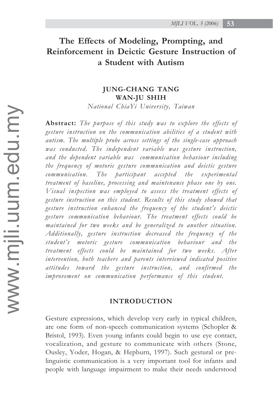# **The Effects of Modeling, Prompting, and Reinforcement in Deictic Gesture Instruction of a Student with Autism**

# **JUNG-CHANG TANG WAN-JU SHIH**

*National ChiaYi University, Taiwan*

**Abstract:** *The purpose of this study was to explore the effects of gesture instruction on the communication abilities of a student with autism. The multiple probe across settings of the single-case approach was conducted. The independent variable was gesture instruction, and the dependent variable was communication behaviour including the frequency of motoric gesture communication and deictic gesture communication. The participant accepted the experimental treatment of baseline, processing and maintenance phase one by one. Visual inspection was employed to assess the treatment effects of gesture instruction on this student. Results of this study showed that gesture instruction enhanced the frequency of the student's deictic gesture communication behaviour. The treatment effects could be maintained for two weeks and be generalized to another situation. Additionally, gesture instruction decreased the frequency of the student's motoric gesture communication behaviour and the treatment effects could be maintained for two weeks. After intervention, both teachers and parents interviewed indicated positive attitudes toward the gesture instruction, and confirmed the improvement on communication performance of this student.*

#### **INTRODUCTION**

Gesture expressions, which develop very early in typical children, are one form of non-speech communication systems (Schopler & Bristol, 1993). Even young infants could begin to use eye contact, vocalization, and gesture to communicate with others (Stone, Ousley, Yoder, Hogan, & Hepburn, 1997). Such gestural or prelinguistic communication is a very important tool for infants and people with language impairment to make their needs understood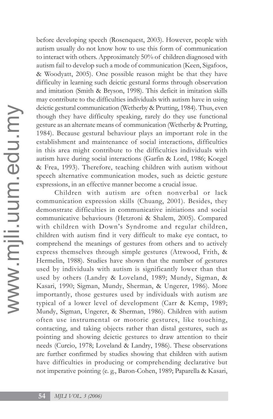before developing speech (Rosenquest, 2003). However, people with autism usually do not know how to use this form of communication to interact with others. Approximately 50% of children diagnosed with autism fail to develop such a mode of communication (Keen, Sigafoos, & Woodyatt, 2005). One possible reason might be that they have difficulty in learning such deictic gestural forms through observation and imitation (Smith & Bryson, 1998). This deficit in imitation skills may contribute to the difficulties individuals with autism have in using deictic gestural communication (Wetherby & Prutting, 1984). Thus, even though they have difficulty speaking, rarely do they use functional gesture as an alternate means of communication (Wetherby & Prutting, 1984). Because gestural behaviour plays an important role in the establishment and maintenance of social interactions, difficulties in this area might contribute to the difficulties individuals with autism have during social interactions (Garfin & Lord, 1986; Koegel & Frea, 1993). Therefore, teaching children with autism without speech alternative communication modes, such as deictic gesture expressions, in an effective manner become a crucial issue.

Children with autism are often nonverbal or lack communication expression skills (Chuang, 2001). Besides, they demonstrate difficulties in communicative initiations and social communicative behaviours (Hetzroni & Shalem, 2005). Compared with children with Down's Syndrome and regular children, children with autism find it very difficult to make eye contact, to comprehend the meanings of gestures from others and to actively express themselves through simple gestures (Attwood, Frith, & Hermelin, 1988). Studies have shown that the number of gestures used by individuals with autism is significantly lower than that used by others (Landry & Loveland, 1989; Mundy, Sigman, & Kasari, 1990; Sigman, Mundy, Sherman, & Ungerer, 1986). More importantly, those gestures used by individuals with autism are typical of a lower level of development (Carr & Kemp, 1989; Mundy, Sigman, Ungerer, & Sherman, 1986). Children with autism often use instrumental or motoric gestures, like touching, contacting, and taking objects rather than distal gestures, such as pointing and showing deictic gestures to draw attention to their needs (Curcio, 1978; Loveland & Landry, 1986). These observations are further confirmed by studies showing that children with autism have difficulties in producing or comprehending declarative but not imperative pointing (e. g., Baron-Cohen, 1989; Paparella & Kasari,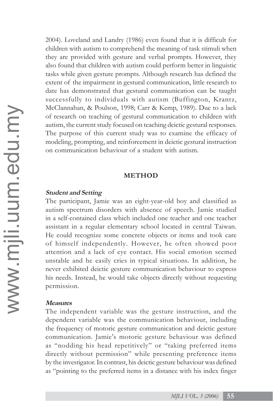2004). Loveland and Landry (1986) even found that it is difficult for children with autism to comprehend the meaning of task stimuli when they are provided with gesture and verbal prompts. However, they also found that children with autism could perform better in linguistic tasks while given gesture prompts. Although research has defined the extent of the impairment in gestural communication, little research to date has demonstrated that gestural communication can be taught successfully to individuals with autism (Buffington, Krantz, McClannahan, & Poulson, 1998; Carr & Kemp, 1989). Due to a lack of research on teaching of gestural communication to children with autism, the current study focused on teaching deictic gestural responses. The purpose of this current study was to examine the efficacy of modeling, prompting, and reinforcement in deictic gestural instruction on communication behaviour of a student with autism.

## **METHOD**

#### **Student and Setting**

The participant, Jamie was an eight-year-old boy and classified as autism spectrum disorders with absence of speech. Jamie studied in a self-contained class which included one teacher and one teacher assistant in a regular elementary school located in central Taiwan. He could recognize some concrete objects or items and took care of himself independently. However, he often showed poor attention and a lack of eye contact. His social emotion seemed unstable and he easily cries in typical situations. In addition, he never exhibited deictic gesture communication behaviour to express his needs. Instead, he would take objects directly without requesting permission.

#### **Measures**

The independent variable was the gesture instruction, and the dependent variable was the communication behaviour, including the frequency of motoric gesture communication and deictic gesture communication. Jamie's motoric gesture behaviour was defined as "nodding his head repetitively" or "taking preferred items directly without permission" while presenting preference items by the investigator. In contrast, his deictic gesture behaviour was defined as "pointing to the preferred items in a distance with his index finger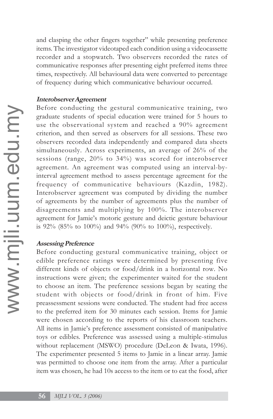and clasping the other fingers together" while presenting preference items. The investigator videotaped each condition using a videocassette recorder and a stopwatch. Two observers recorded the rates of communicative responses after presenting eight preferred items three times, respectively. All behavioural data were converted to percentage of frequency during which communicative behaviour occurred.

# **Interobserver Agreement**

Before conducting the gestural communicative training, two graduate students of special education were trained for 5 hours to use the observational system and reached a 90% agreement criterion, and then served as observers for all sessions. These two observers recorded data independently and compared data sheets simultaneously. Across experiments, an average of 26% of the sessions (range, 20% to 34%) was scored for interobserver agreement. An agreement was computed using an interval-byinterval agreement method to assess percentage agreement for the frequency of communicative behaviours (Kazdin, 1982). Interobserver agreement was computed by dividing the number of agreements by the number of agreements plus the number of disagreements and multiplying by 100%. The interobserver agreement for Jamie's motoric gesture and deictic gesture behaviour is 92% (85% to 100%) and 94% (90% to 100%), respectively.

# **Assessing Preference**

Before conducting gestural communicative training, object or edible preference ratings were determined by presenting five different kinds of objects or food/drink in a horizontal row. No instructions were given; the experimenter waited for the student to choose an item. The preference sessions began by seating the student with objects or food/drink in front of him. Five preassessment sessions were conducted. The student had free access to the preferred item for 30 minutes each session. Items for Jamie were chosen according to the reports of his classroom teachers. All items in Jamie's preference assessment consisted of manipulative toys or edibles. Preference was assessed using a multiple-stimulus without replacement (MSWO) procedure (DeLeon & Iwata, 1996). The experimenter presented 5 items to Jamie in a linear array. Jamie was permitted to choose one item from the array. After a particular item was chosen, he had 10s access to the item or to eat the food, after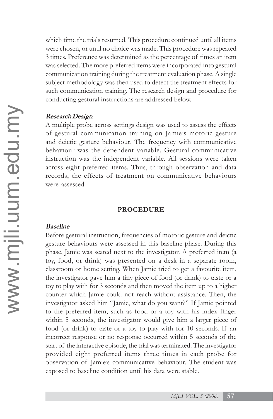which time the trials resumed. This procedure continued until all items were chosen, or until no choice was made. This procedure was repeated 3 times. Preference was determined as the percentage of times an item was selected. The more preferred items were incorporated into gestural communication training during the treatment evaluation phase. A single subject methodology was then used to detect the treatment effects for such communication training. The research design and procedure for conducting gestural instructions are addressed below.

### **Research Design**

A multiple probe across settings design was used to assess the effects of gestural communication training on Jamie's motoric gesture and deictic gesture behaviour. The frequency with communicative behaviour was the dependent variable. Gestural communicative instruction was the independent variable. All sessions were taken across eight preferred items. Thus, through observation and data records, the effects of treatment on communicative behaviours were assessed.

## **PROCEDURE**

#### **Baseline**

Before gestural instruction, frequencies of motoric gesture and deictic gesture behaviours were assessed in this baseline phase. During this phase, Jamie was seated next to the investigator. A preferred item (a toy, food, or drink) was presented on a desk in a separate room, classroom or home setting. When Jamie tried to get a favourite item, the investigator gave him a tiny piece of food (or drink) to taste or a toy to play with for 3 seconds and then moved the item up to a higher counter which Jamie could not reach without assistance. Then, the investigator asked him "Jamie, what do you want?" If Jamie pointed to the preferred item, such as food or a toy with his index finger within 5 seconds, the investigator would give him a larger piece of food (or drink) to taste or a toy to play with for 10 seconds. If an incorrect response or no response occurred within 5 seconds of the start of the interactive episode, the trial was terminated. The investigator provided eight preferred items three times in each probe for observation of Jamie's communicative behaviour. The student was exposed to baseline condition until his data were stable.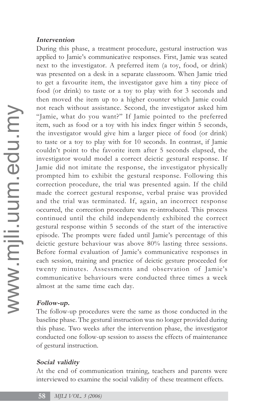# **Intervention**

During this phase, a treatment procedure, gestural instruction was applied to Jamie's communicative responses. First, Jamie was seated next to the investigator. A preferred item (a toy, food, or drink) was presented on a desk in a separate classroom. When Jamie tried to get a favourite item, the investigator gave him a tiny piece of food (or drink) to taste or a toy to play with for 3 seconds and then moved the item up to a higher counter which Jamie could not reach without assistance. Second, the investigator asked him "Jamie, what do you want?" If Jamie pointed to the preferred item, such as food or a toy with his index finger within 5 seconds, the investigator would give him a larger piece of food (or drink) to taste or a toy to play with for 10 seconds. In contrast, if Jamie couldn't point to the favorite item after 5 seconds elapsed, the investigator would model a correct deictic gestural response. If Jamie did not imitate the response, the investigator physically prompted him to exhibit the gestural response. Following this correction procedure, the trial was presented again. If the child made the correct gestural response, verbal praise was provided and the trial was terminated. If, again, an incorrect response occurred, the correction procedure was re-introduced. This process continued until the child independently exhibited the correct gestural response within 5 seconds of the start of the interactive episode. The prompts were faded until Jamie's percentage of this deictic gesture behaviour was above 80% lasting three sessions. Before formal evaluation of Jamie's communicative responses in each session, training and practice of deictic gesture proceeded for twenty minutes. Assessments and observation of Jamie's communicative behaviours were conducted three times a week almost at the same time each day.

# **Follow-up.**

The follow-up procedures were the same as those conducted in the baseline phase. The gestural instruction was no longer provided during this phase. Two weeks after the intervention phase, the investigator conducted one follow-up session to assess the effects of maintenance of gestural instruction.

# **Social validity**

At the end of communication training, teachers and parents were interviewed to examine the social validity of these treatment effects.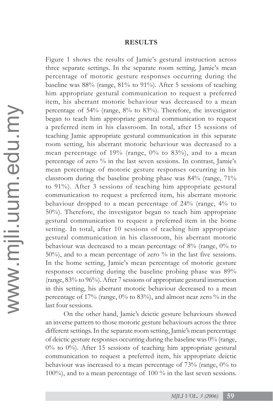#### **RESULTS**

Figure 1 shows the results of Jamie's gestural instruction across three separate settings. In the separate room setting, Jamie's mean percentage of motoric gesture responses occurring during the baseline was 88% (range, 81% to 91%). After 5 sessions of teaching him appropriate gestural communication to request a preferred item, his aberrant motoric behaviour was decreased to a mean percentage of 54% (range, 8% to 83%). Therefore, the investigator began to teach him appropriate gestural communication to request a preferred item in his classroom. In total, after 15 sessions of teaching Jamie appropriate gestural communication in this separate room setting, his aberrant motoric behaviour was decreased to a mean percentage of  $19\%$  (range,  $0\%$  to  $83\%$ ), and to a mean percentage of zero % in the last seven sessions. In contrast, Jamie's mean percentage of motoric gesture responses occurring in his classroom during the baseline probing phase was 84% (range, 71% to 91%). After 3 sessions of teaching him appropriate gestural communication to request a preferred item, his aberrant motoric behaviour dropped to a mean percentage of 24% (range, 4% to 50%). Therefore, the investigator began to teach him appropriate gestural communication to request a preferred item in the home setting. In total, after 10 sessions of teaching him appropriate gestural communication in his classroom, his aberrant motoric behaviour was decreased to a mean percentage of 8% (range, 0% to 50%), and to a mean percentage of zero % in the last five sessions. In the home setting, Jamie's mean percentage of motoric gesture responses occurring during the baseline probing phase was 89% (range, 83% to 96%). After 7 sessions of appropriate gestural instruction in this setting, his aberrant motoric behaviour decreased to a mean percentage of 17% (range,  $0\%$  to 83%), and almost near zero % in the last four sessions.

On the other hand, Jamie's deictic gesture behaviours showed an inverse pattern to those motoric gesture behaviours across the three different settings. In the separate room setting, Jamie's mean percentage of deictic gesture responses occurring during the baseline was 0% (range,  $0\%$  to  $0\%$ ). After 15 sessions of teaching him appropriate gestural communication to request a preferred item, his appropriate deictic behaviour was increased to a mean percentage of 73% (range, 0% to 100%), and to a mean percentage of 100 % in the last seven sessions.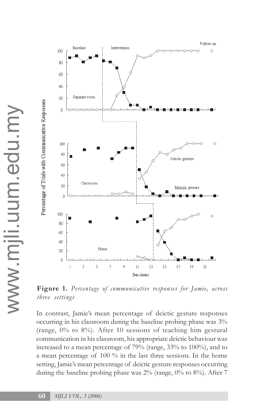

**Figure 1.** *Percentage of communicative responses for Jamie, across three settings*

In contrast, Jamie's mean percentage of deictic gesture responses occurring in his classroom during the baseline probing phase was 3% (range, 0% to 8%). After 10 sessions of teaching him gestural communication in his classroom, his appropriate deictic behaviour was increased to a mean percentage of 79% (range, 33% to 100%), and to a mean percentage of 100 % in the last three sessions. In the home setting, Jamie's mean percentage of deictic gesture responses occurring during the baseline probing phase was  $2\%$  (range, 0% to 8%). After 7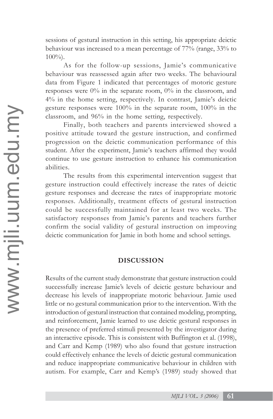sessions of gestural instruction in this setting, his appropriate deictic behaviour was increased to a mean percentage of 77% (range, 33% to 100%).

As for the follow-up sessions, Jamie's communicative behaviour was reassessed again after two weeks. The behavioural data from Figure 1 indicated that percentages of motoric gesture responses were 0% in the separate room, 0% in the classroom, and 4% in the home setting, respectively. In contrast, Jamie's deictic gesture responses were 100% in the separate room, 100% in the classroom, and 96% in the home setting, respectively.

Finally, both teachers and parents interviewed showed a positive attitude toward the gesture instruction, and confirmed progression on the deictic communication performance of this student. After the experiment, Jamie's teachers affirmed they would continue to use gesture instruction to enhance his communication abilities.

The results from this experimental intervention suggest that gesture instruction could effectively increase the rates of deictic gesture responses and decrease the rates of inappropriate motoric responses. Additionally, treatment effects of gestural instruction could be successfully maintained for at least two weeks. The satisfactory responses from Jamie's parents and teachers further confirm the social validity of gestural instruction on improving deictic communication for Jamie in both home and school settings.

# **DISCUSSION**

Results of the current study demonstrate that gesture instruction could successfully increase Jamie's levels of deictic gesture behaviour and decrease his levels of inappropriate motoric behaviour. Jamie used little or no gestural communication prior to the intervention. With the introduction of gestural instruction that contained modeling, prompting, and reinforcement, Jamie learned to use deictic gestural responses in the presence of preferred stimuli presented by the investigator during an interactive episode. This is consistent with Buffington et al. (1998), and Carr and Kemp (1989) who also found that gesture instruction could effectively enhance the levels of deictic gestural communication and reduce inappropriate communicative behaviour in children with autism. For example, Carr and Kemp's (1989) study showed that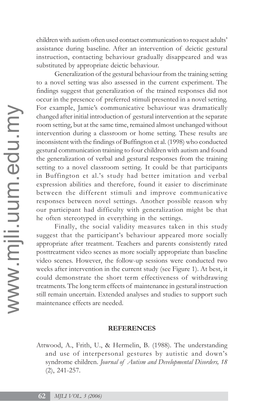children with autism often used contact communication to request adults' assistance during baseline. After an intervention of deictic gestural instruction, contacting behaviour gradually disappeared and was substituted by appropriate deictic behaviour.

Generalization of the gestural behaviour from the training setting to a novel setting was also assessed in the current experiment. The findings suggest that generalization of the trained responses did not occur in the presence of preferred stimuli presented in a novel setting. For example, Jamie's communicative behaviour was dramatically changed after initial introduction of gestural intervention at the separate room setting, but at the same time, remained almost unchanged without intervention during a classroom or home setting. These results are inconsistent with the findings of Buffington et al. (1998) who conducted gestural communication training to four children with autism and found the generalization of verbal and gestural responses from the training setting to a novel classroom setting. It could be that participants in Buffington et al.'s study had better imitation and verbal expression abilities and therefore, found it easier to discriminate between the different stimuli and improve communicative responses between novel settings. Another possible reason why our participant had difficulty with generalization might be that he often stereotyped in everything in the settings.

Finally, the social validity measures taken in this study suggest that the participant's behaviour appeared more socially appropriate after treatment. Teachers and parents consistently rated posttreatment video scenes as more socially appropriate than baseline video scenes. However, the follow-up sessions were conducted two weeks after intervention in the current study (see Figure 1). At best, it could demonstrate the short term effectiveness of withdrawing treatments. The long term effects of maintenance in gestural instruction still remain uncertain. Extended analyses and studies to support such maintenance effects are needed.

#### **REFERENCES**

Attwood, A., Frith, U., & Hermelin, B. (1988). The understanding and use of interpersonal gestures by autistic and down's syndrome children. *Journal of Autism and Developmental Disorders, 18* (2), 241-257.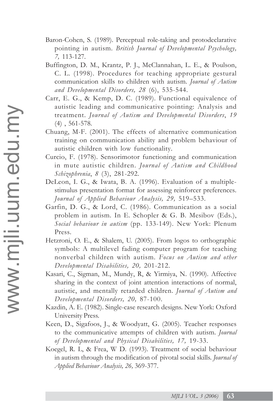- Baron-Cohen, S. (1989). Perceptual role-taking and protodeclarative pointing in autism. *British Journal of Developmental Psychology, 7,* 113-127.
- Buffington, D. M., Krantz, P. J., McClannahan, L. E., & Poulson, C. L. (1998). Procedures for teaching appropriate gestural communication skills to children with autism. *Journal of Autism and Developmental Disorders, 28* (6), 535-544.
- Carr, E. G., & Kemp, D. C. (1989). Functional equivalence of autistic leading and communicative pointing: Analysis and treatment. *Journal of Autism and Developmental Disorders*, *19* (4) , 561-578.
- Chuang, M-F. (2001). The effects of alternative communication training on communication ability and problem behaviour of autistic children with low functionality.
- Curcio, F. (1978). Sensorimotor functioning and communication in mute autistic children. *Journal of Autism and Childhood Schizophrenia*, *8* (3), 281-292.
- DeLeon, I. G., & Iwata, B. A. (1996). Evaluation of a multiplestimulus presentation format for assessing reinforcer preferences. *Journal of Applied Behaviour Analysis, 29,* 519–533.
- Garfin, D. G., & Lord, C. (1986). Communication as a social problem in autism. In E. Schopler & G. B. Mesibov (Eds.), *Social behaviour in autism* (pp. 133-149). New York: Plenum Press.
- Hetzroni, O. E., & Shalem, U. (2005). From logos to orthographic symbols: A multilevel fading computer program for teaching nonverbal children with autism. *Focus on Autism and other Developmental Disabilities, 20,* 201-212.
- Kasari, C., Sigman, M., Mundy, R, & Yirmiya, N. (1990). Affective sharing in the context of joint attention interactions of normal, autistic, and mentally retarded children. *Journal of Autism and Developmental Disorders, 20,* 87-100.
- Kazdin, A. E. (1982). Single-case research designs. New York: Oxford University Press.
- Keen, D., Sigafoos, J., & Woodyatt, G. (2005). Teacher responses to the communicative attempts of children with autism. *Journal of Developmental and Physical Disabilities, 17,* 19-33.
- Koegel, R. L, & Frea, W D. (1993). Treatment of social behaviour in autism through the modification of pivotal social skills. *Journal of Applied Behaviour Analysis, 26,* 369-377.